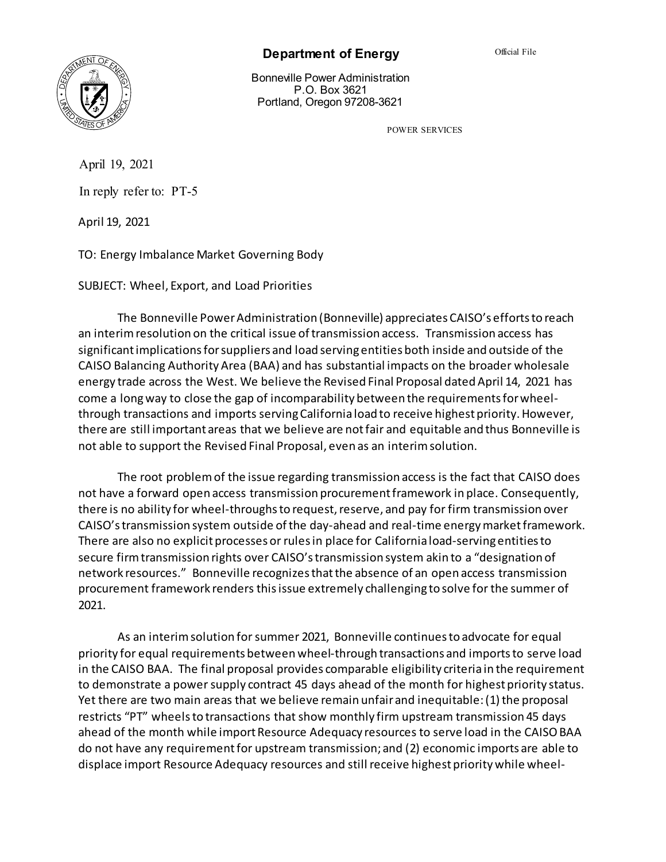

## **Department of Energy**

Bonneville Power Administration P.O. Box 3621 Portland, Oregon 97208-3621

POWER SERVICES

April 19, 2021

In reply refer to: PT-5

April 19, 2021

TO: Energy Imbalance Market Governing Body

SUBJECT: Wheel, Export, and Load Priorities

The Bonneville Power Administration (Bonneville) appreciates CAISO's efforts to reach an interim resolution on the critical issue of transmission access. Transmission access has significant implications for suppliers and load serving entities both inside and outside of the CAISO Balancing Authority Area (BAA) and has substantial impacts on the broader wholesale energy trade across the West. We believe the Revised Final Proposal dated April 14, 2021 has come a long way to close the gap of incomparability between the requirements for wheelthrough transactions and imports serving California load to receive highest priority. However, there are still important areas that we believe are not fair and equitable and thus Bonneville is not able to support the Revised Final Proposal, even as an interim solution.

The root problem of the issue regarding transmission access is the fact that CAISO does not have a forward open access transmission procurement framework in place. Consequently, there is no ability for wheel-throughs to request, reserve, and pay for firm transmission over CAISO's transmission system outside of the day-ahead and real-time energy market framework. There are also no explicit processes or rules in place for California load-serving entities to secure firm transmission rights over CAISO's transmission system akin to a "designation of network resources." Bonneville recognizes that the absence of an open access transmission procurement framework renders this issue extremely challenging to solve for the summer of 2021.

As an interim solution for summer 2021, Bonneville continues to advocate for equal priority for equal requirements between wheel-through transactions and imports to serve load in the CAISO BAA. The final proposal provides comparable eligibility criteria in the requirement to demonstrate a power supply contract 45 days ahead of the month for highest priority status. Yet there are two main areas that we believe remain unfairand inequitable: (1) the proposal restricts "PT" wheels to transactions that show monthly firm upstream transmission 45 days ahead of the month while import Resource Adequacy resources to serve load in the CAISO BAA do not have any requirement for upstream transmission; and (2) economic imports are able to displace import Resource Adequacy resources and still receive highest priority while wheel